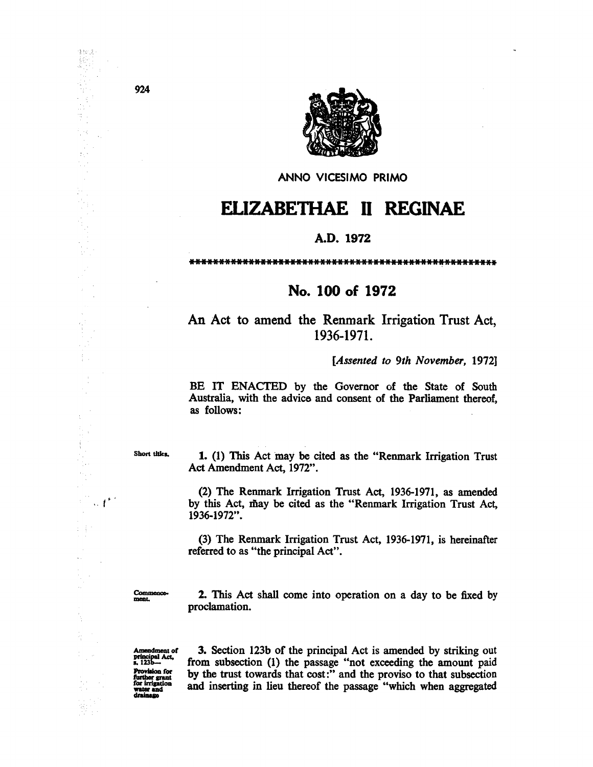

ANNO VICESIMO PRIMO

## ELIZABETHAE **11** REGINAE

## A.D. 1972

## No. 100 of 1972

An Act to amend the Renmark Irrigation Trust Act, 1936-1971.

*[Assented to 9th November, 19721* 

BE IT ENACTED by the Governor of the State of South Australia, with the advice and consent of the Parliament thereof, as follows:

Short titles.

 $\sim t^{\ast}$ 

e.<br>Brit

1. (1) This Act may be cited as the "Renmark Irrigation Trust Act Amendment Act, 1972".

(2) The Renmark Irrigation Trust Act, 1936-1971, as amended by this Act, may be cited as the "Renmark Irrigation Trust Act, 1936-1972".

(3) The Renmark Irrigation Trust Act, 1936-1971, is hereinafter referred to as "the principal Act".

Commence-<br>ment.

2. This Act shall come into operation on a day to be fixed by proclamation.

Amendment of<br>principal Act,<br>s. 123b---Provision for further grant water and drainage

3. Section 123b of the principal Act is amended by striking out from subsection (1) the passage "not exceeding the amount paid by the trust towards that cost:" and the proviso to that subsection and inserting in lieu thereof the passage "which when aggregated

924

Breist 

 $\hat{\mathcal{S}}$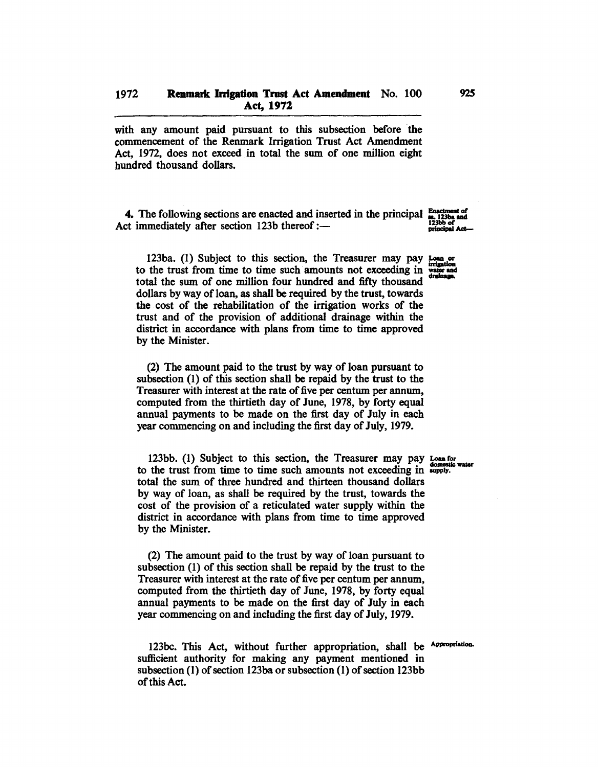with any amount paid pursuant to this subsection before the commencement of the Renmark Irrigation Trust Act Amendment Act, 1972, does not exceed in total the sum of one million eight hundred thousand dollars.

4. The following sections are enacted and inserted in the principal  $\frac{\text{Exacted}}{\text{max}}$  123ba and Act immediately after section 123b thereof: $-$ 

123ba. (1) Subject to this section, the Treasurer may pay  $_{\text{beam}}$  or 123ba. (1) Subject to this section, the Treasurer may pay Losa or<br>to the trust from time to time such amounts not exceeding in  $\frac{\text{triangular}}{\text{triangular}}$ <br>total the sum of one million four hundred and fifty thousand total the sum of one million four hundred and fifty thousand dollars by way of loan, as shall be required by the trust, towards the cost of the rehabilitation of the irrigation works of the trust and of the provision of additional drainage within the district in accordance with plans from time to time approved by the Minister.

(2) The amount paid to the trust by way of loan pursuant to subsection (1) of this section shall be repaid by the trust to the Treasurer with interest at the rate of five per centum per annum, computed from the thirtieth day of June, 1978, by forty equal annual payments to be made on the first day of July in each year commencing on and including the first day of July, 1979.

123bb. (1) Subject to this section, the Treasurer may pay Loan for to the trust from time to time such amounts not exceeding in supply. total the sum of three hundred and thirteen thousand dollars by way of loan, as shall be required by the trust, towards the cost of the provision of a reticulated water supply within the district in accordance with plans from time to time approved by the Minister.

(2) The amount paid to the trust by way of loan pursuant to subsection (1) of this section shall be repaid by the trust to the Treasurer with interest at the rate of five per centum per annum, computed from the thirtieth day of June, 1978, by forty equal annual payments to be made on the first day of July in each year commencing on and including the first day of July, 1979.

123bc. This Act, without further appropriation, shall be Appropriation. sufficient authority for making any payment mentioned in subsection (1) of section 123ba or subsection (1) of section 123bb of this Act.